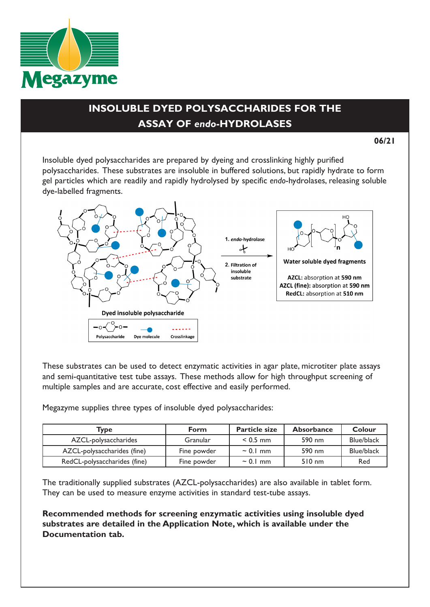

## **INSOLUBLE DYED POLYSACCHARIDES FOR THE ASSAY OF** *endo***-HYDROLASES**

**06/21**

Insoluble dyed polysaccharides are prepared by dyeing and crosslinking highly purified polysaccharides. These substrates are insoluble in buffered solutions, but rapidly hydrate to form gel particles which are readily and rapidly hydrolysed by specific *endo*-hydrolases, releasing soluble dye-labelled fragments.



These substrates can be used to detect enzymatic activities in agar plate, microtiter plate assays and semi-quantitative test tube assays. These methods allow for high throughput screening of multiple samples and are accurate, cost effective and easily performed.

Megazyme supplies three types of insoluble dyed polysaccharides:

| Type                         | Form        | <b>Particle size</b> | <b>Absorbance</b> | Colour     |
|------------------------------|-------------|----------------------|-------------------|------------|
| AZCL-polysaccharides         | Granular    | $< 0.5$ mm           | 590 nm            | Blue/black |
| AZCL-polysaccharides (fine)  | Fine powder | $\sim$ 0.1 mm        | 590 nm            | Blue/black |
| RedCL-polysaccharides (fine) | Fine powder | $\sim$ 0.1 mm        | $510 \text{ nm}$  | Red        |

The traditionally supplied substrates (AZCL-polysaccharides) are also available in tablet form. They can be used to measure enzyme activities in standard test-tube assays.

**Recommended methods for screening enzymatic activities using insoluble dyed substrates are detailed in the Application Note, which is available under the Documentation tab.**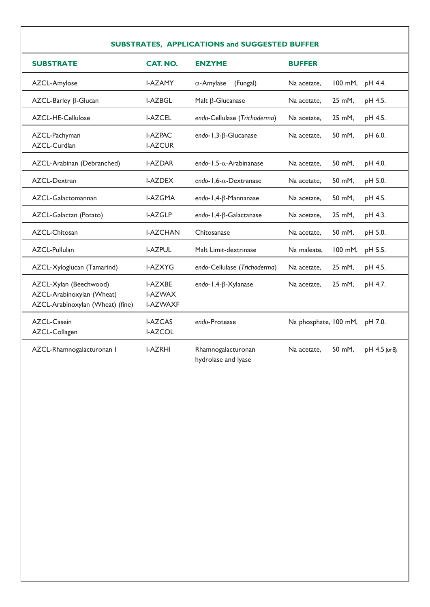## **SUBSTRATES, APPLICATIONS and SUGGESTED BUFFER**

| <b>SUBSTRATE</b>                                                                        | CAT. NO.                                            | <b>ENZYME</b>                   | <b>BUFFER</b>         |         |                  |
|-----------------------------------------------------------------------------------------|-----------------------------------------------------|---------------------------------|-----------------------|---------|------------------|
| AZCL-Amylose                                                                            | <b>I-AZAMY</b>                                      | $\alpha$ -Amylase<br>(Fungal)   | Na acetate,           | 100 mM, | pH 4.4.          |
| AZCL-Barley β-Glucan                                                                    | <b>I-AZBGL</b>                                      | Malt $\beta$ -Glucanase         | Na acetate,           | 25 mM,  | pH 4.5.          |
| AZCL-HE-Cellulose                                                                       | <b>I-AZCEL</b>                                      | endo-Cellulase (Trichoderma)    | Na acetate,           | 25 mM,  | pH 4.5.          |
| AZCL-Pachyman<br>AZCL-Curdlan                                                           | <b>I-AZPAC</b><br><b>I-AZCUR</b>                    | endo-1,3- $\beta$ -Glucanase    | Na acetate,           | 50 mM,  | pH 6.0.          |
| AZCL-Arabinan (Debranched)                                                              | <b>I-AZDAR</b>                                      | endo-1,5- $\alpha$ -Arabinanase | Na acetate,           | 50 mM,  | pH 4.0.          |
| AZCL-Dextran                                                                            | <b>I-AZDEX</b>                                      | endo-1,6- $\alpha$ -Dextranase  | Na acetate.           | 50 mM.  | pH 5.0.          |
| AZCL-Galactomannan                                                                      | <b>I-AZGMA</b>                                      | endo-1,4-β-Mannanase            | Na acetate,           | 50 mM,  | pH 4.5.          |
| AZCL-Galactan (Potato)                                                                  | <b>I-AZGLP</b>                                      | endo-1,4-β-Galactanase          | Na acetate.           | 25 mM,  | pH 4.3.          |
| AZCL-Chitosan                                                                           | <b>I-AZCHAN</b>                                     | Chitosanase                     | Na acetate,           | 50 mM.  | pH 5.0.          |
| AZCL-Pullulan                                                                           | <b>I-AZPUL</b>                                      | Malt Limit-dextrinase           | Na maleate.           | 100 mM, | pH 5.5.          |
| AZCL-Xyloglucan (Tamarind)                                                              | <b>I-AZXYG</b>                                      | endo-Cellulase (Trichoderma)    | Na acetate,           | 25 mM,  | pH 4.5.          |
| AZCL-Xylan (Beechwood)<br>AZCL-Arabinoxylan (Wheat)<br>AZCL-Arabinoxylan (Wheat) (fine) | <b>I-AZXBE</b><br><b>I-AZWAX</b><br><b>I-AZWAXF</b> | endo-1,4-B-Xylanase             | Na acetate,           | 25 mM,  | pH 4.7.          |
| AZCL-Casein<br>AZCL-Collagen                                                            | <b>I-AZCAS</b><br><b>I-AZCOL</b>                    | endo-Protease                   | Na phosphate, 100 mM, |         | pH 7.0.          |
| AZCL-Rhamnogalacturonan I                                                               | <b>I-AZRHI</b>                                      | Rhamnogalacturonan              | Na acetate.           | 50 mM,  | $pH 4.5$ (or 8). |

hydrolase and lyase